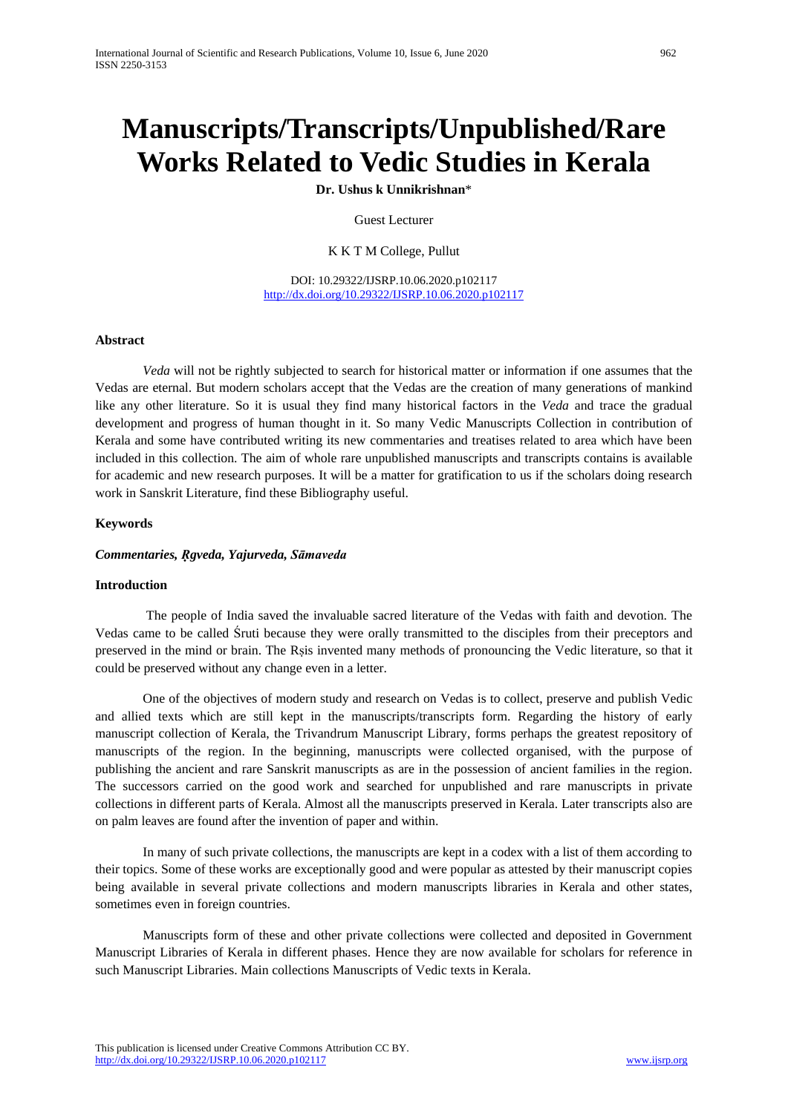**Dr. Ushus k Unnikrishnan**\*

Guest Lecturer

K K T M College, Pullut

DOI: 10.29322/IJSRP.10.06.2020.p102117 <http://dx.doi.org/10.29322/IJSRP.10.06.2020.p102117>

### **Abstract**

*Veda* will not be rightly subjected to search for historical matter or information if one assumes that the Vedas are eternal. But modern scholars accept that the Vedas are the creation of many generations of mankind like any other literature. So it is usual they find many historical factors in the *Veda* and trace the gradual development and progress of human thought in it. So many Vedic Manuscripts Collection in contribution of Kerala and some have contributed writing its new commentaries and treatises related to area which have been included in this collection. The aim of whole rare unpublished manuscripts and transcripts contains is available for academic and new research purposes. It will be a matter for gratification to us if the scholars doing research work in Sanskrit Literature, find these Bibliography useful.

# **Keywords**

### *Commentaries, Ṛgveda, Yajurveda, Sāmaveda*

#### **Introduction**

The people of India saved the invaluable sacred literature of the Vedas with faith and devotion. The Vedas came to be called Śruti because they were orally transmitted to the disciples from their preceptors and preserved in the mind or brain. The Rṣis invented many methods of pronouncing the Vedic literature, so that it could be preserved without any change even in a letter.

One of the objectives of modern study and research on Vedas is to collect, preserve and publish Vedic and allied texts which are still kept in the manuscripts/transcripts form. Regarding the history of early manuscript collection of Kerala, the Trivandrum Manuscript Library, forms perhaps the greatest repository of manuscripts of the region. In the beginning, manuscripts were collected organised, with the purpose of publishing the ancient and rare Sanskrit manuscripts as are in the possession of ancient families in the region. The successors carried on the good work and searched for unpublished and rare manuscripts in private collections in different parts of Kerala. Almost all the manuscripts preserved in Kerala. Later transcripts also are on palm leaves are found after the invention of paper and within.

In many of such private collections, the manuscripts are kept in a codex with a list of them according to their topics. Some of these works are exceptionally good and were popular as attested by their manuscript copies being available in several private collections and modern manuscripts libraries in Kerala and other states, sometimes even in foreign countries.

Manuscripts form of these and other private collections were collected and deposited in Government Manuscript Libraries of Kerala in different phases. Hence they are now available for scholars for reference in such Manuscript Libraries. Main collections Manuscripts of Vedic texts in Kerala.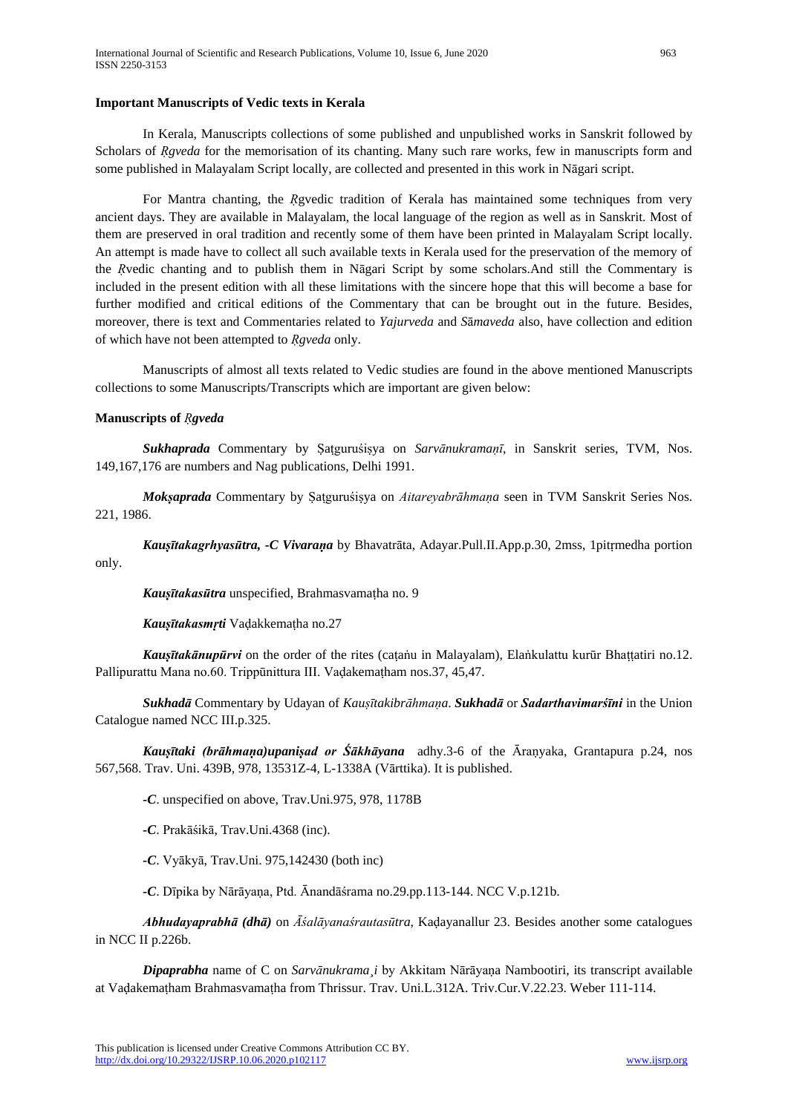#### **Important Manuscripts of Vedic texts in Kerala**

In Kerala, Manuscripts collections of some published and unpublished works in Sanskrit followed by Scholars of *Rgveda* for the memorisation of its chanting. Many such rare works, few in manuscripts form and some published in Malayalam Script locally, are collected and presented in this work in Nāgari script.

For Mantra chanting, the *Ṛ*gvedic tradition of Kerala has maintained some techniques from very ancient days. They are available in Malayalam, the local language of the region as well as in Sanskrit. Most of them are preserved in oral tradition and recently some of them have been printed in Malayalam Script locally. An attempt is made have to collect all such available texts in Kerala used for the preservation of the memory of the *Ṛ*vedic chanting and to publish them in Nāgari Script by some scholars.And still the Commentary is included in the present edition with all these limitations with the sincere hope that this will become a base for further modified and critical editions of the Commentary that can be brought out in the future. Besides, moreover, there is text and Commentaries related to *Yajurveda* and *S*ā*maveda* also, have collection and edition of which have not been attempted to *Ṛgveda* only.

Manuscripts of almost all texts related to Vedic studies are found in the above mentioned Manuscripts collections to some Manuscripts/Transcripts which are important are given below:

#### **Manuscripts of** *Ṛgveda*

*Sukhaprada* Commentary by Ṣaṭguruśiṣya on *Sarvānukramaṇī*, in Sanskrit series, TVM, Nos. 149,167,176 are numbers and Nag publications, Delhi 1991.

*Mokṣaprada* Commentary by Ṣaṭguruśiṣya on *Aitareyabrāhmaṇa* seen in TVM Sanskrit Series Nos. 221, 1986.

*Kauṣītakagrhyasūtra, -C Vivaraṇa* by Bhavatrāta, Adayar.Pull.II.App.p.30, 2mss, 1pitṛmedha portion only.

*Kauṣītakasūtra* unspecified, Brahmasvamaṭha no. 9

*Kauṣītakasmṛti* Vaḍakkemaṭha no.27

*Kauṣītakānupūrvi* on the order of the rites (caṭaṅu in Malayalam), Elaṅkulattu kurūr Bhaṭṭatiri no.12. Pallipurattu Mana no.60. Trippūnittura III. Vaḍakemaṭham nos.37, 45,47.

*Sukhadā* Commentary by Udayan of *Kauṣītakibrāhmaṇa*. *Sukhadā* or *Sadarthavimarśīni* in the Union Catalogue named NCC III.p.325.

*Kauṣītaki (brāhmaṇa)upaniṣad or Śākhāyana* adhy.3-6 of the Āraṇyaka, Grantapura p.24, nos 567,568. Trav. Uni. 439B, 978, 13531Z-4, L-1338A (Vārttika). It is published.

*-C*. unspecified on above, Trav.Uni.975, 978, 1178B

*-C*. Prakāśikā, Trav.Uni.4368 (inc).

*-C*. Vyākyā, Trav.Uni. 975,142430 (both inc)

*-C*. Dīpika by Nārāyaṇa, Ptd. Ānandāśrama no.29.pp.113-144. NCC V.p.121b.

*Abhudayaprabhā (dhā)* on *Āśalāyanaśrautasūtra*, Kaḍayanallur 23. Besides another some catalogues in NCC II p.226b.

*Dipaprabha* name of C on *Sarvānukrama¸i* by Akkitam Nārāyaṇa Nambootiri, its transcript available at Vaḍakemaṭham Brahmasvamaṭha from Thrissur. Trav. Uni.L.312A. Triv.Cur.V.22.23. Weber 111-114.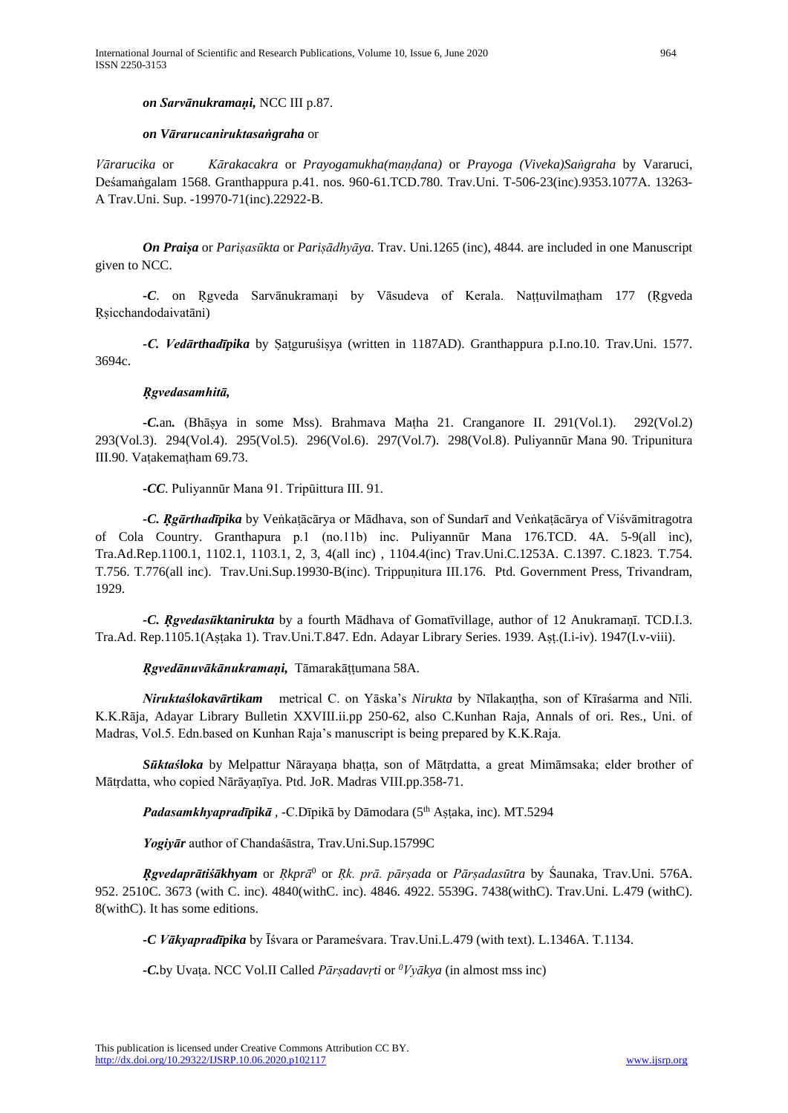### *on Vārarucaniruktasaṅgraha* or

*Vārarucika* or *Kārakacakra* or *Prayogamukha(maṇḍana)* or *Prayoga (Viveka)Saṅgraha* by Vararuci, Deśamaṅgalam 1568. Granthappura p.41. nos. 960-61.TCD.780. Trav.Uni. T-506-23(inc).9353.1077A. 13263- A Trav.Uni. Sup. -19970-71(inc).22922-B.

*On Praiṣa* or *Pariṣasūkta* or *Pariṣādhyāya.* Trav. Uni.1265 (inc), 4844. are included in one Manuscript given to NCC.

*-C*. on Ṛgveda Sarvānukramaṇi by Vāsudeva of Kerala. Naṭṭuvilmaṭham 177 (Ṛgveda Ṛṣicchandodaivatāni)

*-C. Vedārthadīpika* by Ṣaṭguruśiṣya (written in 1187AD). Granthappura p.I.no.10. Trav.Uni. 1577. 3694c.

### *Ṛgvedasamhitā,*

*-C.*an*.* (Bhāṣya in some Mss). Brahmava Maṭha 21. Cranganore II. 291(Vol.1). 292(Vol.2) 293(Vol.3). 294(Vol.4). 295(Vol.5). 296(Vol.6). 297(Vol.7). 298(Vol.8). Puliyannūr Mana 90. Tripunitura III.90. Vaṭakemaṭham 69.73.

*-CC*. Puliyannūr Mana 91. Tripūittura III. 91.

*-C. Ṛgārthadīpika* by Veṅkaṭācārya or Mādhava, son of Sundarī and Veṅkaṭācārya of Viśvāmitragotra of Cola Country. Granthapura p.1 (no.11b) inc. Puliyannūr Mana 176.TCD. 4A. 5-9(all inc), Tra.Ad.Rep.1100.1, 1102.1, 1103.1, 2, 3, 4(all inc) , 1104.4(inc) Trav.Uni.C.1253A. C.1397. C.1823. T.754. T.756. T.776(all inc). Trav.Uni.Sup.19930-B(inc). Trippuṇitura III.176. Ptd. Government Press, Trivandram, 1929.

*-C. Ṛgvedasūktanirukta* by a fourth Mādhava of Gomatīvillage, author of 12 Anukramaṇī. TCD.I.3. Tra.Ad. Rep.1105.1(Aṣṭaka 1). Trav.Uni.T.847. Edn. Adayar Library Series. 1939. Aṣṭ.(I.i-iv). 1947(I.v-viii).

*Ṛgvedānuvākānukramaṇi,* Tāmarakāṭṭumana 58A.

*Niruktaślokavārtikam* metrical C. on Yāska's *Nirukta* by Nīlakaṇṭha, son of Kīraśarma and Nīli. K.K.Rāja, Adayar Library Bulletin XXVIII.ii.pp 250-62, also C.Kunhan Raja, Annals of ori. Res., Uni. of Madras, Vol.5. Edn.based on Kunhan Raja's manuscript is being prepared by K.K.Raja.

*Sūktaśloka* by Melpattur Nārayaṇa bhaṭṭa, son of Mātṛdatta, a great Mimāmsaka; elder brother of Mātṛdatta, who copied Nārāyaṇīya. Ptd. JoR. Madras VIII.pp.358-71.

Padasamkhyapradīpikā, -C.Dīpikā by Dāmodara (5<sup>th</sup> Aṣṭaka, inc). MT.5294

*Yogiyār* author of Chandaśāstra, Trav.Uni.Sup.15799C

*Ṛgvedaprātiśākhyam* or *Ṛkprā* <sup>0</sup> or *Ṛk. prā. pārṣada* or *Pārṣadasūtra* by Śaunaka, Trav.Uni. 576A. 952. 2510C. 3673 (with C. inc). 4840(withC. inc). 4846. 4922. 5539G. 7438(withC). Trav.Uni. L.479 (withC). 8(withC). It has some editions.

*-C Vākyapradīpika* by Īśvara or Parameśvara. Trav.Uni.L.479 (with text). L.1346A. T.1134.

*-C.*by Uvaṭa. NCC Vol.II Called *Pārṣadavṛti* or *<sup>0</sup>Vyākya* (in almost mss inc)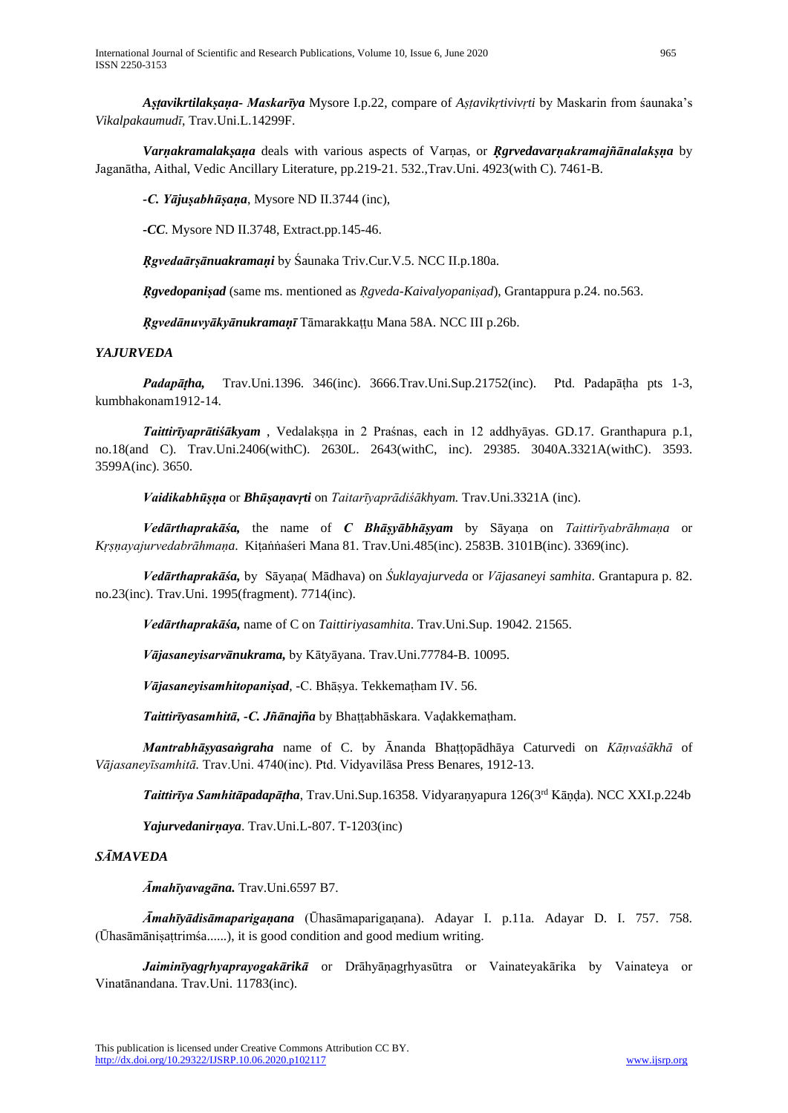*Aṣṭavikrtilakṣaṇa- Maskarīya* Mysore I.p.22, compare of *Aṣṭavikṛtivivṛti* by Maskarin from śaunaka's *Vikalpakaumudī*, Trav.Uni.L.14299F.

*Varṇakramalakṣaṇa* deals with various aspects of Varṇas, or *Ṛgrvedavarṇakramajñānalakṣṇa* by Jaganātha, Aithal, Vedic Ancillary Literature, pp.219-21. 532.,Trav.Uni. 4923(with C). 7461-B.

*-C. Yājuṣabhūṣaṇa*, Mysore ND II.3744 (inc),

*-CC*. Mysore ND II.3748, Extract.pp.145-46.

*Ṛgvedaārṣānuakramaṇi* by Śaunaka Triv.Cur.V.5. NCC II.p.180a.

*Ṛgvedopaniṣad* (same ms. mentioned as *Ṛgveda-Kaivalyopaniṣad*), Grantappura p.24. no.563.

*Ṛgvedānuvyākyānukramaṇī* Tāmarakkaṭṭu Mana 58A. NCC III p.26b.

# *YAJURVEDA*

*Padapāṭha,* Trav.Uni.1396. 346(inc). 3666.Trav.Uni.Sup.21752(inc). Ptd. Padapāṭha pts 1-3, kumbhakonam1912-14.

*Taittirīyaprātiśākyam* , Vedalakṣṇa in 2 Praśnas, each in 12 addhyāyas. GD.17. Granthapura p.1, no.18(and C). Trav.Uni.2406(withC). 2630L. 2643(withC, inc). 29385. 3040A.3321A(withC). 3593. 3599A(inc). 3650.

*Vaidikabhūṣṇa* or *Bhūṣaṇavṛti* on *Taitarīyaprādiśākhyam.* Trav.Uni.3321A (inc).

*Vedārthaprakāśa,* the name of *C Bhāṣyābhāṣyam* by Sāyaṇa on *Taittirīyabrāhmaṇa* or *Kṛṣṇayajurvedabrāhmaṇa*. Kiṭaṅṅaśeri Mana 81. Trav.Uni.485(inc). 2583B. 3101B(inc). 3369(inc).

*Vedārthaprakāśa,* by Sāyaṇa( Mādhava) on *Śuklayajurveda* or *Vājasaneyi samhita*. Grantapura p. 82. no.23(inc). Trav.Uni. 1995(fragment). 7714(inc).

*Vedārthaprakāśa,* name of C on *Taittiriyasamhita*. Trav.Uni.Sup. 19042. 21565.

*Vājasaneyisarvānukrama,* by Kātyāyana. Trav.Uni.77784-B. 10095.

*Vājasaneyisamhitopaniṣad*, -C. Bhāṣya. Tekkemaṭham IV. 56.

*Taittirīyasamhitā, -C. Jñānajña* by Bhaṭṭabhāskara. Vaḍakkemaṭham.

*Mantrabhāṣyasaṅgraha* name of C. by Ānanda Bhaṭṭopādhāya Caturvedi on *Kāṇvaśākhā* of *Vājasaneyīsamhitā.* Trav.Uni. 4740(inc). Ptd. Vidyavilāsa Press Benares, 1912-13.

*Taittirīya Samhitāpadapāṭha*, Trav.Uni.Sup.16358. Vidyaraṇyapura 126(3rd Kāṇḍa). NCC XXI.p.224b

*Yajurvedanirṇaya*. Trav.Uni.L-807. T-1203(inc)

# *SĀMAVEDA*

*Āmahīyavagāna.* Trav.Uni.6597 B7.

*Āmahīyādisāmaparigaṇana* (Ūhasāmaparigaṇana). Adayar I. p.11a. Adayar D. I. 757. 758. (Ūhasāmāniṣaṭtrimśa......), it is good condition and good medium writing.

*Jaiminīyagṛhyaprayogakārikā* or Drāhyāṇagṛhyasūtra or Vainateyakārika by Vainateya or Vinatānandana. Trav.Uni. 11783(inc).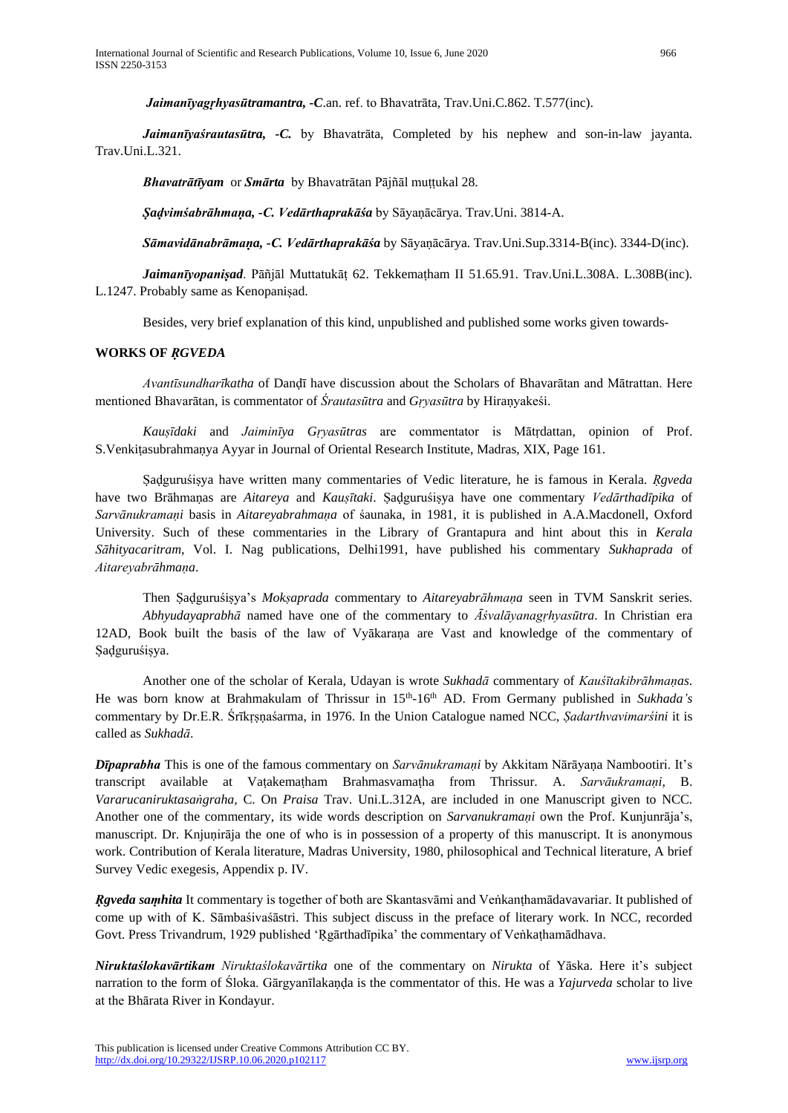*Jaimanīyagṛhyasūtramantra, -C*.an. ref. to Bhavatrāta, Trav.Uni.C.862. T.577(inc).

*Jaimanīyaśrautasūtra, -C.* by Bhavatrāta, Completed by his nephew and son-in-law jayanta. Trav.Uni.L.321.

*Bhavatrātīyam* or *Smārta* by Bhavatrātan Pājñāl muṭṭukal 28.

*Ṣaḍvimśabrāhmaṇa, -C. Vedārthaprakāśa* by Sāyaṇācārya. Trav.Uni. 3814-A.

*Sāmavidānabrāmaṇa, -C. Vedārthaprakāśa* by Sāyaṇācārya. Trav.Uni.Sup.3314-B(inc). 3344-D(inc).

*Jaimanīyopaniṣad*. Pāñjāl Muttatukāṭ 62. Tekkemaṭham II 51.65.91. Trav.Uni.L.308A. L.308B(inc). L.1247. Probably same as Kenopaniṣad.

Besides, very brief explanation of this kind, unpublished and published some works given towards-

### **WORKS OF** *ṚGVEDA*

*Avantīsundharīkatha* of Danḍī have discussion about the Scholars of Bhavarātan and Mātrattan. Here mentioned Bhavarātan, is commentator of *Śrautasūtra* and *Gṛyasūtra* by Hiraṇyakeśi.

*Kauṣīdaki* and *Jaiminīya Gṛyasūtras* are commentator is Mātṛdattan, opinion of Prof. S.Venkiṭasubrahmaṇya Ayyar in Journal of Oriental Research Institute, Madras, XIX, Page 161.

Ṣaḍguruśiṣya have written many commentaries of Vedic literature, he is famous in Kerala*. Ṛgveda* have two Brāhmaṇas are *Aitareya* and *Kauṣītaki*. Ṣaḍguruśiṣya have one commentary *Vedārthadīpika* of *Sarvānukramaṇi* basis in *Aitareyabrahmaṇa* of śaunaka, in 1981, it is published in A.A.Macdonell, Oxford University. Such of these commentaries in the Library of Grantapura and hint about this in *Kerala Sāhityacaritram*, Vol. I. Nag publications, Delhi1991, have published his commentary *Sukhaprada* of *Aitareyabrāhmaṇa*.

Then Ṣaḍguruśiṣya's *Mokṣaprada* commentary to *Aitareyabrāhmaṇa* seen in TVM Sanskrit series. *Abhyudayaprabhā* named have one of the commentary to *Āśvalāyanagṛhyasūtra*. In Christian era 12AD, Book built the basis of the law of Vyākaraṇa are Vast and knowledge of the commentary of Ṣaḍguruśiṣya.

Another one of the scholar of Kerala, Udayan is wrote *Sukhadā* commentary of *Kauśītakibrāhmaṇas*. He was born know at Brahmakulam of Thrissur in 15<sup>th</sup>-16<sup>th</sup> AD. From Germany published in *Sukhada's* commentary by Dr.E.R. Śrīkṛṣṇaśarma, in 1976. In the Union Catalogue named NCC, *Ṣadarthvavimarśini* it is called as *Sukhadā*.

*Dīpaprabha* This is one of the famous commentary on *Sarvānukramaṇi* by Akkitam Nārāyaṇa Nambootiri. It's transcript available at Vaṭakemaṭham Brahmasvamaṭha from Thrissur. A. *Sarvāukramaṇi,* B. *Vararucaniruktasaṅgraha,* C. On *Praisa* Trav. Uni.L.312A, are included in one Manuscript given to NCC. Another one of the commentary, its wide words description on *Sarvanukramaṇi* own the Prof. Kunjunrāja's, manuscript. Dr. Knjuṇirāja the one of who is in possession of a property of this manuscript. It is anonymous work. Contribution of Kerala literature, Madras University, 1980, philosophical and Technical literature, A brief Survey Vedic exegesis, Appendix p. IV.

*Ṛgveda saṃhita* It commentary is together of both are Skantasvāmi and Veṅkanṭhamādavavariar. It published of come up with of K. Sāmbaśivaśāstri. This subject discuss in the preface of literary work. In NCC, recorded Govt. Press Trivandrum, 1929 published 'Rgārthadīpika' the commentary of Veṅkathamādhava.

*Niruktaślokavārtikam Niruktaślokavārtika* one of the commentary on *Nirukta* of Yāska. Here it's subject narration to the form of Śloka. Gārgyanīlakanda is the commentator of this. He was a *Yajurveda* scholar to live at the Bhārata River in Kondayur.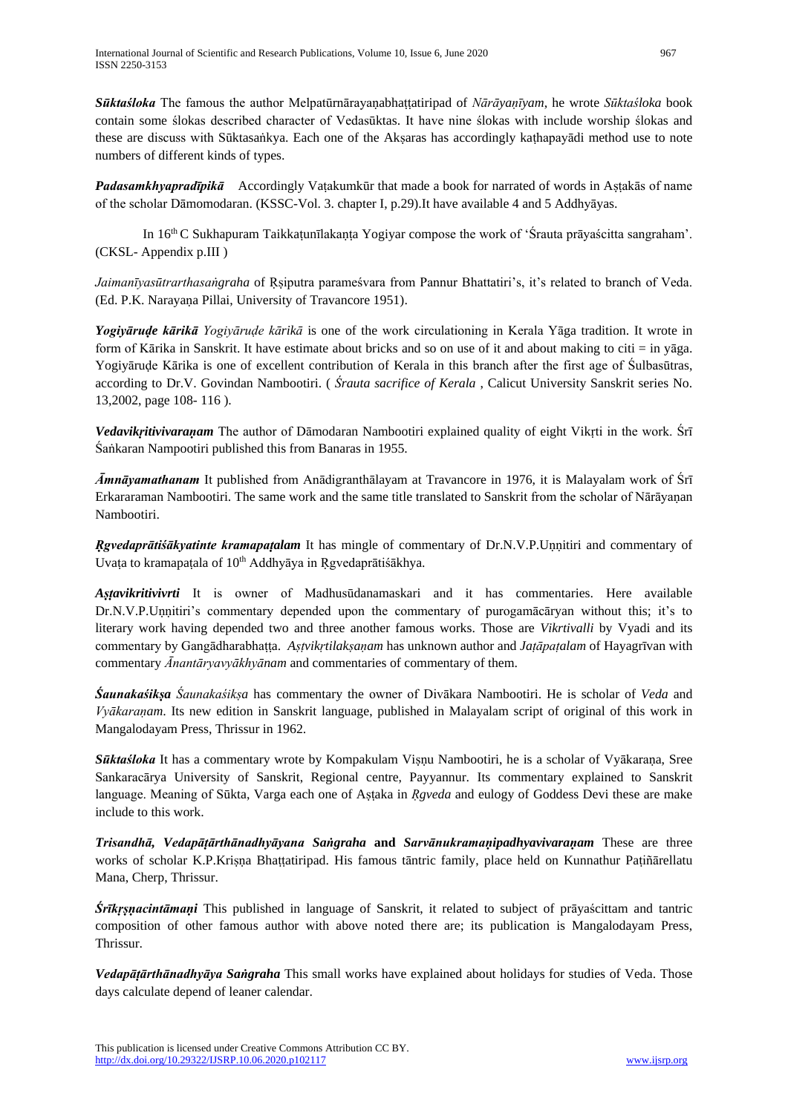*Sūktaśloka* The famous the author Melpatūrnārayaṇabhaṭṭatiripad of *Nārāyaṇīyam*, he wrote *Sūktaśloka* book contain some ślokas described character of Vedasūktas. It have nine ślokas with include worship ślokas and these are discuss with Sūktasaṅkya. Each one of the Akṣaras has accordingly kaṭhapayādi method use to note numbers of different kinds of types.

*Padasamkhyapradīpikā* Accordingly Vaṭakumkūr that made a book for narrated of words in Aṣṭakās of name of the scholar Dāmomodaran. (KSSC-Vol. 3. chapter I, p.29).It have available 4 and 5 Addhyāyas.

In 16th C Sukhapuram Taikkaṭunīlakaṇṭa Yogiyar compose the work of 'Śrauta prāyaścitta sangraham'. (CKSL- Appendix p.III )

*Jaimanīyasūtrarthasaṅgraha* of Ṛṣiputra parameśvara from Pannur Bhattatiri's, it's related to branch of Veda. (Ed. P.K. Narayaṇa Pillai, University of Travancore 1951).

*Yogiyāruḍe kārikā Yogiyāruḍe kārikā* is one of the work circulationing in Kerala Yāga tradition. It wrote in form of Kārika in Sanskrit. It have estimate about bricks and so on use of it and about making to citi = in yāga. Yogiyāruḍe Kārika is one of excellent contribution of Kerala in this branch after the first age of Śulbasūtras, according to Dr.V. Govindan Nambootiri. ( *Śrauta sacrifice of Kerala* , Calicut University Sanskrit series No. 13,2002, page 108- 116 ).

*Vedavikṛitivivaraṇam* The author of Dāmodaran Nambootiri explained quality of eight Vikṛti in the work. Śrī Śaṅkaran Nampootiri published this from Banaras in 1955.

*Āmnāyamathanam* It published from Anādigranthālayam at Travancore in 1976, it is Malayalam work of Śrī Erkararaman Nambootiri. The same work and the same title translated to Sanskrit from the scholar of Nārāyaṇan Nambootiri.

*Ṛgvedaprātiśākyatinte kramapaṭalam* It has mingle of commentary of Dr.N.V.P.Uṇṇitiri and commentary of Uvața to kramapațala of 10<sup>th</sup> Addhyāya in Rgvedaprātiśākhya.

*Aṣṭavikritivivrti* It is owner of Madhusūdanamaskari and it has commentaries. Here available Dr.N.V.P.Uṇṇitiri's commentary depended upon the commentary of purogamācāryan without this; it's to literary work having depended two and three another famous works. Those are *Vikrtivalli* by Vyadi and its commentary by Gangādharabhaṭṭa. *Aṣṭvikṛtilakṣaṇam* has unknown author and *Jaṭāpaṭalam* of Hayagrīvan with commentary *Ānantāryavyākhyānam* and commentaries of commentary of them.

*Śaunakaśikṣa Śaunakaśikṣa* has commentary the owner of Divākara Nambootiri. He is scholar of *Veda* and *Vyākaraṇam*. Its new edition in Sanskrit language, published in Malayalam script of original of this work in Mangalodayam Press, Thrissur in 1962.

*Sūktaśloka* It has a commentary wrote by Kompakulam Visnu Nambootiri, he is a scholar of Vyākarana, Sree Sankaracārya University of Sanskrit, Regional centre, Payyannur. Its commentary explained to Sanskrit language. Meaning of Sūkta, Varga each one of Aṣṭaka in *Ṛgveda* and eulogy of Goddess Devi these are make include to this work.

*Trisandhā, Vedapāṭārthānadhyāyana Saṅgraha* **and** *Sarvānukramaṇipadhyavivaraṇam* These are three works of scholar K.P.Krisna Bhattatiripad. His famous tāntric family, place held on Kunnathur Patiñārellatu Mana, Cherp, Thrissur.

*Śrīkṛṣṇacintāmaṇi* This published in language of Sanskrit, it related to subject of prāyaścittam and tantric composition of other famous author with above noted there are; its publication is Mangalodayam Press, Thrissur.

*Vedapāṭārthānadhyāya Saṅgraha* This small works have explained about holidays for studies of Veda. Those days calculate depend of leaner calendar.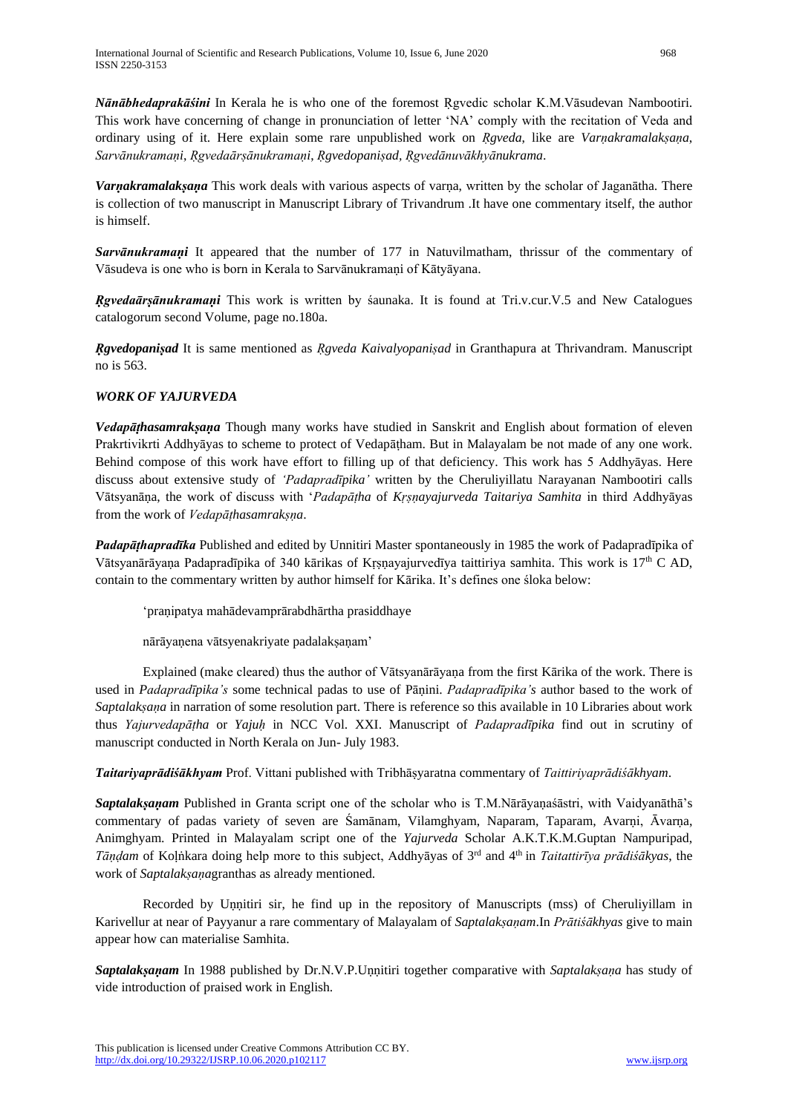*Nānābhedaprakāśini* In Kerala he is who one of the foremost Ṛgvedic scholar K.M.Vāsudevan Nambootiri. This work have concerning of change in pronunciation of letter 'NA' comply with the recitation of Veda and ordinary using of it. Here explain some rare unpublished work on *Ṛgveda*, like are *Varṇakramalakṣaṇa*, *Sarvānukramaṇi*, *Ṛgvedaārṣānukramaṇi*, *Ṛgvedopaniṣad, Ṛgvedānuvākhyānukrama*.

*Varṇakramalakṣaṇa* This work deals with various aspects of varṇa, written by the scholar of Jaganātha. There is collection of two manuscript in Manuscript Library of Trivandrum .It have one commentary itself, the author is himself.

*Sarvānukramaṇi* It appeared that the number of 177 in Natuvilmatham, thrissur of the commentary of Vāsudeva is one who is born in Kerala to Sarvānukramaṇi of Kātyāyana.

*Ṛgvedaārṣānukramaṇi* This work is written by śaunaka. It is found at Tri.v.cur.V.5 and New Catalogues catalogorum second Volume, page no.180a.

*Ṛgvedopaniṣad* It is same mentioned as *Ṛgveda Kaivalyopaniṣad* in Granthapura at Thrivandram. Manuscript no is 563.

# *WORK OF YAJURVEDA*

*Vedapāṭhasamrakṣaṇa* Though many works have studied in Sanskrit and English about formation of eleven Prakrtivikrti Addhyāyas to scheme to protect of Vedapātham. But in Malayalam be not made of any one work. Behind compose of this work have effort to filling up of that deficiency. This work has 5 Addhyāyas. Here discuss about extensive study of *'Padapradīpika'* written by the Cheruliyillatu Narayanan Nambootiri calls Vātsyanāṇa, the work of discuss with '*Padapāṭha* of *Kṛṣṇayajurveda Taitariya Samhita* in third Addhyāyas from the work of *Vedapāṭhasamrakṣṇa*.

*Padapāṭhapradīka* Published and edited by Unnitiri Master spontaneously in 1985 the work of Padapradīpika of Vātsyanārāyaṇa Padapradīpika of 340 kārikas of Kṛṣṇayajurvedīya taittiriya samhita. This work is 17th C AD, contain to the commentary written by author himself for Kārika. It's defines one śloka below:

'praṇipatya mahādevamprārabdhārtha prasiddhaye

nārāyaṇena vātsyenakriyate padalakṣaṇam'

Explained (make cleared) thus the author of Vātsyanārāyaṇa from the first Kārika of the work. There is used in *Padapradīpika's* some technical padas to use of Pāṇini. *Padapradīpika's* author based to the work of *Saptalakṣaṇa* in narration of some resolution part. There is reference so this available in 10 Libraries about work thus *Yajurvedapāṭha* or *Yajuḥ* in NCC Vol. XXI. Manuscript of *Padapradīpika* find out in scrutiny of manuscript conducted in North Kerala on Jun- July 1983.

*Taitariyaprādiśākhyam* Prof. Vittani published with Tribhāṣyaratna commentary of *Taittiriyaprādiśākhyam*.

*Saptalakṣaṇam* Published in Granta script one of the scholar who is T.M.Nārāyaṇaśāstri, with Vaidyanāthā's commentary of padas variety of seven are Śamānam, Vilamghyam, Naparam, Taparam, Avarṇi, Āvarṇa, Animghyam. Printed in Malayalam script one of the *Yajurveda* Scholar A.K.T.K.M.Guptan Nampuripad, *Tāṇḍam* of Koḷṅkara doing help more to this subject, Addhyāyas of 3rd and 4 th in *Taitattirīya prādiśākyas*, the work of *Saptalakṣaṇa*granthas as already mentioned.

Recorded by Unnitiri sir, he find up in the repository of Manuscripts (mss) of Cheruliyillam in Karivellur at near of Payyanur a rare commentary of Malayalam of *Saptalakṣaṇam*.In *Prātiśākhyas* give to main appear how can materialise Samhita.

*Saptalakṣaṇam* In 1988 published by Dr.N.V.P.Uṇṇitiri together comparative with *Saptalakṣaṇa* has study of vide introduction of praised work in English.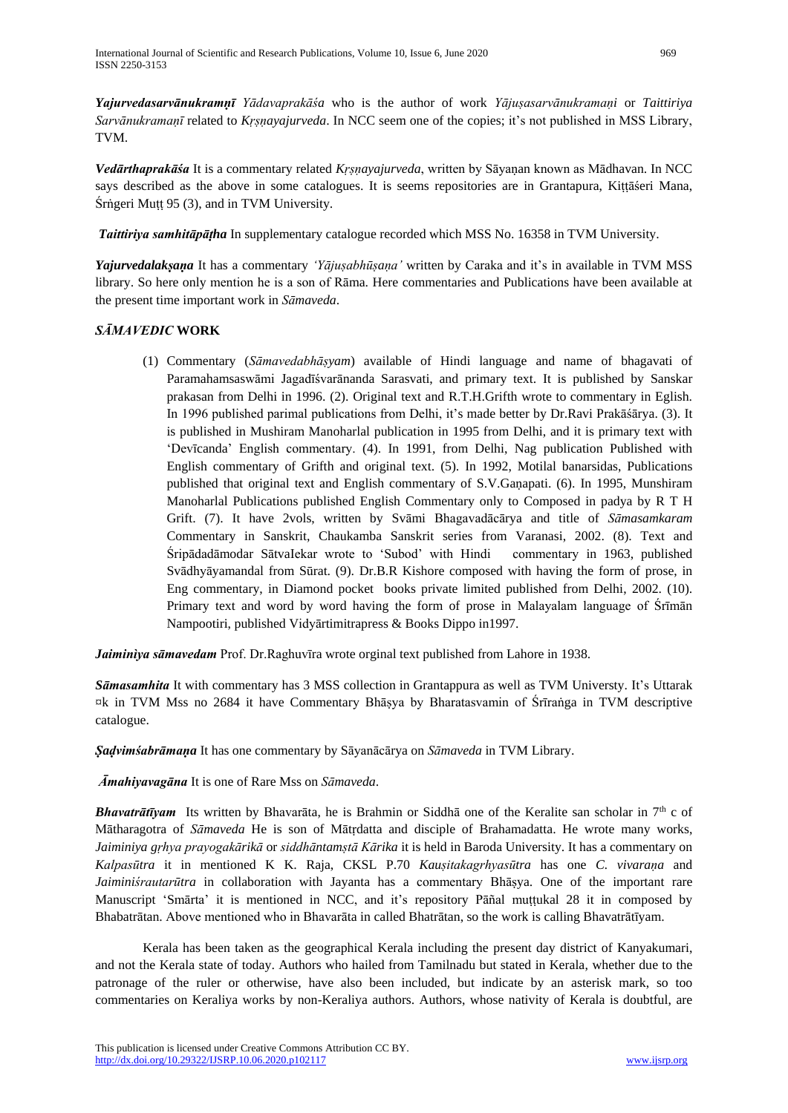*Yajurvedasarvānukramṇī Yādavaprakāśa* who is the author of work *Yājuṣasarvānukramaṇi* or *Taittiriya Sarvānukramaṇī* related to *Kṛṣṇayajurveda*. In NCC seem one of the copies; it's not published in MSS Library, TVM.

*Vedārthaprakāśa* It is a commentary related *Kṛṣṇayajurveda*, written by Sāyaṇan known as Mādhavan. In NCC says described as the above in some catalogues. It is seems repositories are in Grantapura, Kiṭṭāśeri Mana, Śrṅgeri Muṭṭ 95 (3), and in TVM University.

*Taittiriya samhitāpāṭha* In supplementary catalogue recorded which MSS No. 16358 in TVM University.

*Yajurvedalakṣaṇa* It has a commentary *'Yājuṣabhūṣaṇa'* written by Caraka and it's in available in TVM MSS library. So here only mention he is a son of Rāma. Here commentaries and Publications have been available at the present time important work in *Sāmaveda*.

# *SĀMAVEDIC* **WORK**

(1) Commentary (*Sāmavedabhāṣyam*) available of Hindi language and name of bhagavati of Paramahamsaswāmi Jagadīśvarānanda Sarasvati, and primary text. It is published by Sanskar prakasan from Delhi in 1996. (2). Original text and R.T.H.Grifth wrote to commentary in Eglish. In 1996 published parimal publications from Delhi, it's made better by Dr.Ravi Prakāśārya. (3). It is published in Mushiram Manoharlal publication in 1995 from Delhi, and it is primary text with 'Devīcanda' English commentary. (4). In 1991, from Delhi, Nag publication Published with English commentary of Grifth and original text. (5). In 1992, Motilal banarsidas, Publications published that original text and English commentary of S.V.Gaṇapati. (6). In 1995, Munshiram Manoharlal Publications published English Commentary only to Composed in padya by R T H Grift. (7). It have 2vols, written by Svāmi Bhagavadācārya and title of *Sāmasamkaram* Commentary in Sanskrit, Chaukamba Sanskrit series from Varanasi, 2002. (8). Text and Śripādadāmodar SātvaIekar wrote to 'Subod' with Hindi commentary in 1963, published Svādhyāyamandal from Sūrat. (9). Dr.B.R Kishore composed with having the form of prose, in Eng commentary, in Diamond pocket books private limited published from Delhi, 2002. (10). Primary text and word by word having the form of prose in Malayalam language of Śrīmān Nampootiri, published Vidyārtimitrapress & Books Dippo in1997.

*Jaiminìya sāmavedam* Prof. Dr.Raghuvīra wrote orginal text published from Lahore in 1938.

*Sāmasamhita* It with commentary has 3 MSS collection in Grantappura as well as TVM Universty. It's Uttarak ¤k in TVM Mss no 2684 it have Commentary Bhāṣya by Bharatasvamin of Śrīraṅga in TVM descriptive catalogue.

*Ṣaḍvimśabrāmaṇa* It has one commentary by Sāyanācārya on *Sāmaveda* in TVM Library.

*Āmahiyavagāna* It is one of Rare Mss on *Sāmaveda*.

**Bhavatrātīvam** Its written by Bhavarāta, he is Brahmin or Siddhā one of the Keralite san scholar in 7<sup>th</sup> c of Mātharagotra of *Sāmaveda* He is son of Mātṛdatta and disciple of Brahamadatta. He wrote many works, *Jaiminiya gṛhya prayogakārikā* or *siddhāntamṣtā Kārika* it is held in Baroda University. It has a commentary on *Kalpasūtra* it in mentioned K K. Raja, CKSL P.70 *Kauṣitakagrhyasūtra* has one *C. vivaraṇa* and *Jaiminiśrautarūtra* in collaboration with Jayanta has a commentary Bhāṣya. One of the important rare Manuscript 'Smārta' it is mentioned in NCC, and it's repository Pāñal muṭṭukal 28 it in composed by Bhabatrātan. Above mentioned who in Bhavarāta in called Bhatrātan, so the work is calling Bhavatrātīyam.

Kerala has been taken as the geographical Kerala including the present day district of Kanyakumari, and not the Kerala state of today. Authors who hailed from Tamilnadu but stated in Kerala, whether due to the patronage of the ruler or otherwise, have also been included, but indicate by an asterisk mark, so too commentaries on Keraliya works by non-Keraliya authors. Authors, whose nativity of Kerala is doubtful, are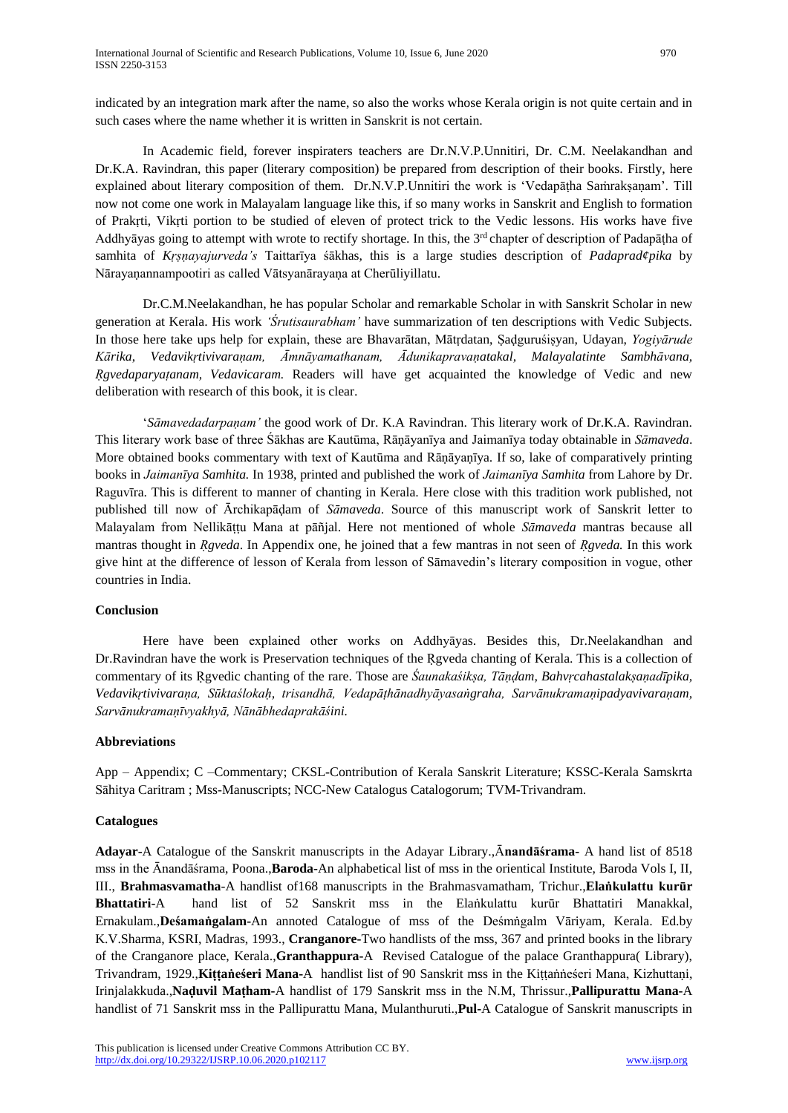indicated by an integration mark after the name, so also the works whose Kerala origin is not quite certain and in such cases where the name whether it is written in Sanskrit is not certain.

In Academic field, forever inspiraters teachers are Dr.N.V.P.Unnitiri, Dr. C.M. Neelakandhan and Dr.K.A. Ravindran, this paper (literary composition) be prepared from description of their books. Firstly, here explained about literary composition of them. Dr.N.V.P.Unnitiri the work is 'Vedapāṭha Saṁrakṣaṇam'. Till now not come one work in Malayalam language like this, if so many works in Sanskrit and English to formation of Prakṛti, Vikṛti portion to be studied of eleven of protect trick to the Vedic lessons. His works have five Addhyāyas going to attempt with wrote to rectify shortage. In this, the 3<sup>rd</sup> chapter of description of Padapāṭha of samhita of *Kṛṣṇayajurveda's* Taittarīya śākhas, this is a large studies description of *Padaprad¢pika* by Nārayaṇannampootiri as called Vātsyanārayaṇa at Cherūliyillatu.

Dr.C.M.Neelakandhan, he has popular Scholar and remarkable Scholar in with Sanskrit Scholar in new generation at Kerala. His work *'Śrutisaurabham'* have summarization of ten descriptions with Vedic Subjects. In those here take ups help for explain, these are Bhavarātan, Mātṛdatan, Ṣaḍguruśiṣyan, Udayan, *Yogiyārude Kārika*, *Vedavikṛtivivaraṇam, Āmnāyamathanam, Ādunikapravaṇatakal, Malayalatinte Sambhāvana, Ṛgvedaparyaṭanam, Vedavicaram.* Readers will have get acquainted the knowledge of Vedic and new deliberation with research of this book, it is clear.

'*Sāmavedadarpaṇam'* the good work of Dr. K.A Ravindran. This literary work of Dr.K.A. Ravindran. This literary work base of three Śākhas are Kautūma, Rāṇāyanīya and Jaimanīya today obtainable in *Sāmaveda*. More obtained books commentary with text of Kautūma and Rāṇāyaṇīya. If so, lake of comparatively printing books in *Jaimanīya Samhita.* In 1938, printed and published the work of *Jaimanīya Samhita* from Lahore by Dr. Raguvīra. This is different to manner of chanting in Kerala. Here close with this tradition work published, not published till now of Ārchikapāḍam of *Sāmaveda*. Source of this manuscript work of Sanskrit letter to Malayalam from Nellikāṭṭu Mana at pāñjal. Here not mentioned of whole *Sāmaveda* mantras because all mantras thought in *Ṛgveda*. In Appendix one, he joined that a few mantras in not seen of *Ṛgveda.* In this work give hint at the difference of lesson of Kerala from lesson of Sāmavedin's literary composition in vogue, other countries in India.

# **Conclusion**

Here have been explained other works on Addhyāyas. Besides this, Dr.Neelakandhan and Dr.Ravindran have the work is Preservation techniques of the Ṛgveda chanting of Kerala. This is a collection of commentary of its Ṛgvedic chanting of the rare. Those are *Śaunakaśikṣa, Tāṇḍam, Bahvṛcahastalakṣaṇadīpika, Vedavikṛtivivaraṇa, Sūktaślokaḥ, trisandhā, Vedapāṭhānadhyāyasaṅgraha, Sarvānukramaṇipadyavivaraṇam, Sarvānukramaṇīvyakhyā, Nānābhedaprakāśini.*

#### **Abbreviations**

App – Appendix; C –Commentary; CKSL-Contribution of Kerala Sanskrit Literature; KSSC-Kerala Samskrta Sāhitya Caritram ; Mss-Manuscripts; NCC-New Catalogus Catalogorum; TVM-Trivandram.

# **Catalogues**

**Adayar-**A Catalogue of the Sanskrit manuscripts in the Adayar Library.,Ā**nandāśrama-** A hand list of 8518 mss in the Ānandāśrama, Poona.,**Baroda-**An alphabetical list of mss in the orientical Institute, Baroda Vols I, II, III., **Brahmasvamatha**-A handlist of168 manuscripts in the Brahmasvamatham, Trichur.,**Elaṅkulattu kurūr Bhattatiri-**A hand list of 52 Sanskrit mss in the Elaṅkulattu kurūr Bhattatiri Manakkal, Ernakulam.,**Deśamaṅgalam-**An annoted Catalogue of mss of the Deśmṅgalm Vāriyam, Kerala. Ed.by K.V.Sharma, KSRI, Madras, 1993., **Cranganore-**Two handlists of the mss, 367 and printed books in the library of the Cranganore place, Kerala.,**Granthappura-**A Revised Catalogue of the palace Granthappura( Library), Trivandram, 1929.,**Kiṭṭaṅeśeri Mana-**A handlist list of 90 Sanskrit mss in the Kiṭṭaṅṅeśeri Mana, Kizhuttaṇi, Irinjalakkuda.,**Naḍuvil Maṭham-**A handlist of 179 Sanskrit mss in the N.M, Thrissur.,**Pallipurattu Mana-**A handlist of 71 Sanskrit mss in the Pallipurattu Mana, Mulanthuruti.,**Pul-**A Catalogue of Sanskrit manuscripts in